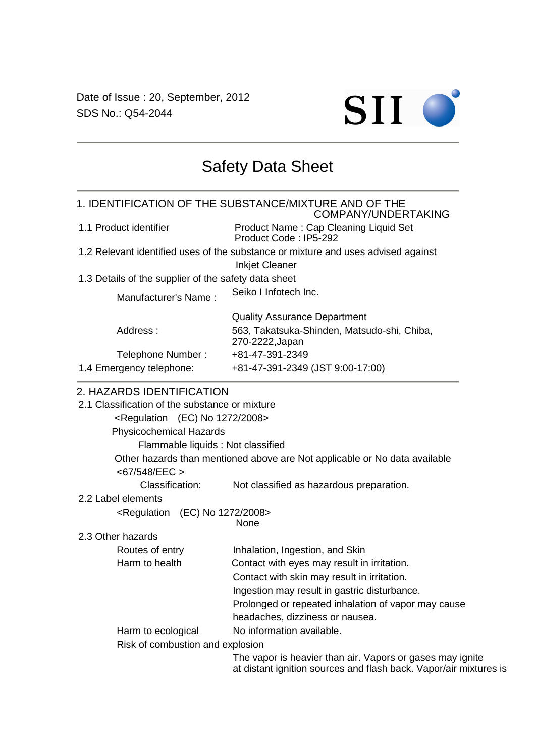Date of Issue : 20, September, 2012 SDS No.: Q54-2044



# Safety Data Sheet

1. IDENTIFICATION OF THE SUBSTANCE/MIXTURE AND OF THE COMPANY/UNDERTAKING 1.1 Product identifier Product Name : Cap Cleaning Liquid Set Product Code : IP5-292 1.2 Relevant identified uses of the substance or mixture and uses advised against Inkjet Cleaner 1.3 Details of the supplier of the safety data sheet Manufacturer's Name : Seiko I Infotech Inc. Quality Assurance Department Address : 563, Takatsuka-Shinden, Matsudo-shi, Chiba, 270-2222,Japan Telephone Number: +81-47-391-2349 1.4 Emergency telephone: +81-47-391-2349 (JST 9:00-17:00)

#### 2. HAZARDS IDENTIFICATION

| 2.1 Classification of the substance or mixture |                                                                                                                                |
|------------------------------------------------|--------------------------------------------------------------------------------------------------------------------------------|
| $\epsilon$ Regulation (EC) No 1272/2008>       |                                                                                                                                |
| <b>Physicochemical Hazards</b>                 |                                                                                                                                |
| Flammable liquids: Not classified              |                                                                                                                                |
|                                                | Other hazards than mentioned above are Not applicable or No data available                                                     |
| $<$ 67/548/EEC $>$                             |                                                                                                                                |
| Classification:                                | Not classified as hazardous preparation.                                                                                       |
| 2.2 Label elements                             |                                                                                                                                |
| $\leq$ Regulation (EC) No 1272/2008>           | None                                                                                                                           |
| 2.3 Other hazards                              |                                                                                                                                |
| Routes of entry                                | Inhalation, Ingestion, and Skin                                                                                                |
| Harm to health                                 | Contact with eyes may result in irritation.                                                                                    |
|                                                | Contact with skin may result in irritation.                                                                                    |
|                                                | Ingestion may result in gastric disturbance.                                                                                   |
|                                                | Prolonged or repeated inhalation of vapor may cause                                                                            |
|                                                | headaches, dizziness or nausea.                                                                                                |
| Harm to ecological                             | No information available.                                                                                                      |
| Risk of combustion and explosion               |                                                                                                                                |
|                                                | The vapor is heavier than air. Vapors or gases may ignite<br>at distant ignition sources and flash back. Vapor/air mixtures is |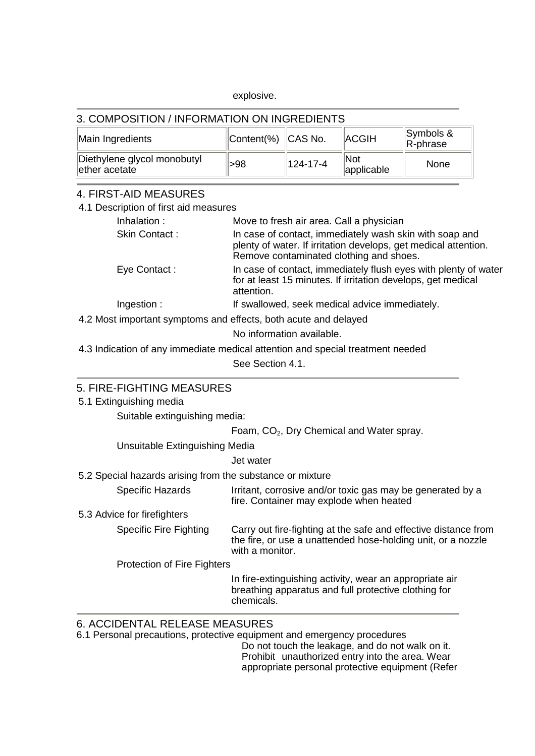#### explosive.

### 3. COMPOSITION / INFORMATION ON INGREDIENTS

| Main Ingredients                                         | Content(%) CAS No. |          | <b>ACGIH</b>             | Symbols &<br>$\mathsf{R}\text{-}$ phrase |
|----------------------------------------------------------|--------------------|----------|--------------------------|------------------------------------------|
| Diethylene glycol monobutyl<br>$\parallel$ ether acetate | >98                | 124-17-4 | <b>Not</b><br>applicable | None                                     |

## 4. FIRST-AID MEASURES

| סשרוטטר שווי שורדים ווערו                                       |                                                                                                                                                                       |
|-----------------------------------------------------------------|-----------------------------------------------------------------------------------------------------------------------------------------------------------------------|
| 4.1 Description of first aid measures                           |                                                                                                                                                                       |
| Inhalation:                                                     | Move to fresh air area. Call a physician                                                                                                                              |
| Skin Contact:                                                   | In case of contact, immediately wash skin with soap and<br>plenty of water. If irritation develops, get medical attention.<br>Remove contaminated clothing and shoes. |
| Eye Contact:                                                    | In case of contact, immediately flush eyes with plenty of water<br>for at least 15 minutes. If irritation develops, get medical<br>attention.                         |
| Ingestion:                                                      | If swallowed, seek medical advice immediately.                                                                                                                        |
| 4.2 Most important symptoms and effects, both acute and delayed |                                                                                                                                                                       |
|                                                                 | No information available.                                                                                                                                             |
|                                                                 | 4.3 Indication of any immediate medical attention and special treatment needed                                                                                        |
|                                                                 | See Section 4.1.                                                                                                                                                      |
|                                                                 |                                                                                                                                                                       |
| 5. FIRE-FIGHTING MEASURES                                       |                                                                                                                                                                       |
| 5.1 Extinguishing media                                         |                                                                                                                                                                       |
| Suitable extinguishing media:                                   |                                                                                                                                                                       |
|                                                                 | Foam, CO <sub>2</sub> , Dry Chemical and Water spray.                                                                                                                 |
| Unsuitable Extinguishing Media                                  |                                                                                                                                                                       |
|                                                                 | Jet water                                                                                                                                                             |
| 5.2 Special hazards arising from the substance or mixture       |                                                                                                                                                                       |
| Specific Hazards                                                | Irritant, corrosive and/or toxic gas may be generated by a<br>fire. Container may explode when heated                                                                 |
| 5.3 Advice for firefighters                                     |                                                                                                                                                                       |
| <b>Specific Fire Fighting</b>                                   | Carry out fire-fighting at the safe and effective distance from<br>the fire, or use a unattended hose-holding unit, or a nozzle<br>with a monitor.                    |
| Protection of Fire Fighters                                     |                                                                                                                                                                       |
|                                                                 | In fire-extinguishing activity, wear an appropriate air<br>breathing apparatus and full protective clothing for<br>chemicals.                                         |
| 6. ACCIDENTAL RELEASE MEASURES                                  |                                                                                                                                                                       |

6.1 Personal precautions, protective equipment and emergency procedures

Do not touch the leakage, and do not walk on it. Prohibit unauthorized entry into the area. Wear appropriate personal protective equipment (Refer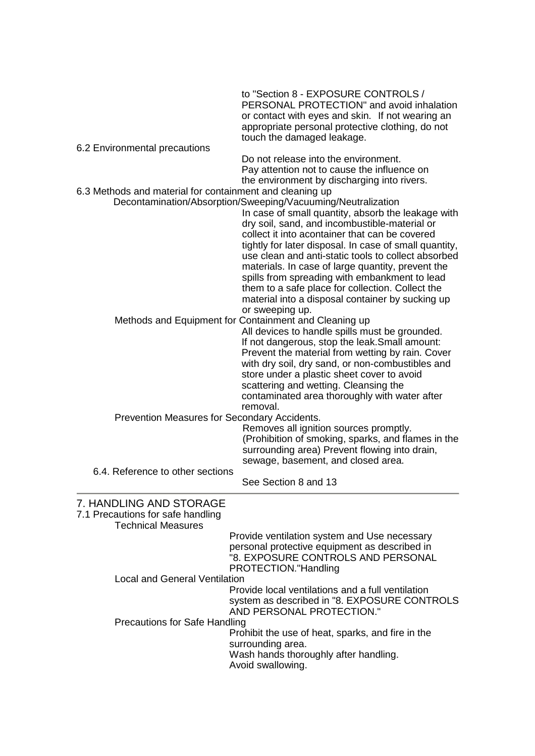|                                                          | to "Section 8 - EXPOSURE CONTROLS /<br>PERSONAL PROTECTION" and avoid inhalation<br>or contact with eyes and skin. If not wearing an<br>appropriate personal protective clothing, do not<br>touch the damaged leakage.                                                                                                                                                                                                                                                                                                                                                  |
|----------------------------------------------------------|-------------------------------------------------------------------------------------------------------------------------------------------------------------------------------------------------------------------------------------------------------------------------------------------------------------------------------------------------------------------------------------------------------------------------------------------------------------------------------------------------------------------------------------------------------------------------|
| 6.2 Environmental precautions                            |                                                                                                                                                                                                                                                                                                                                                                                                                                                                                                                                                                         |
|                                                          | Do not release into the environment.                                                                                                                                                                                                                                                                                                                                                                                                                                                                                                                                    |
|                                                          | Pay attention not to cause the influence on<br>the environment by discharging into rivers.                                                                                                                                                                                                                                                                                                                                                                                                                                                                              |
| 6.3 Methods and material for containment and cleaning up |                                                                                                                                                                                                                                                                                                                                                                                                                                                                                                                                                                         |
|                                                          | Decontamination/Absorption/Sweeping/Vacuuming/Neutralization<br>In case of small quantity, absorb the leakage with<br>dry soil, sand, and incombustible-material or<br>collect it into acontainer that can be covered<br>tightly for later disposal. In case of small quantity,<br>use clean and anti-static tools to collect absorbed<br>materials. In case of large quantity, prevent the<br>spills from spreading with embankment to lead<br>them to a safe place for collection. Collect the<br>material into a disposal container by sucking up<br>or sweeping up. |
|                                                          | Methods and Equipment for Containment and Cleaning up                                                                                                                                                                                                                                                                                                                                                                                                                                                                                                                   |
|                                                          | All devices to handle spills must be grounded.                                                                                                                                                                                                                                                                                                                                                                                                                                                                                                                          |
|                                                          | If not dangerous, stop the leak. Small amount:                                                                                                                                                                                                                                                                                                                                                                                                                                                                                                                          |
|                                                          | Prevent the material from wetting by rain. Cover                                                                                                                                                                                                                                                                                                                                                                                                                                                                                                                        |
|                                                          | with dry soil, dry sand, or non-combustibles and<br>store under a plastic sheet cover to avoid                                                                                                                                                                                                                                                                                                                                                                                                                                                                          |
|                                                          | scattering and wetting. Cleansing the                                                                                                                                                                                                                                                                                                                                                                                                                                                                                                                                   |
|                                                          | contaminated area thoroughly with water after                                                                                                                                                                                                                                                                                                                                                                                                                                                                                                                           |
|                                                          | removal.                                                                                                                                                                                                                                                                                                                                                                                                                                                                                                                                                                |
| Prevention Measures for Secondary Accidents.             | Removes all ignition sources promptly.                                                                                                                                                                                                                                                                                                                                                                                                                                                                                                                                  |
|                                                          | (Prohibition of smoking, sparks, and flames in the                                                                                                                                                                                                                                                                                                                                                                                                                                                                                                                      |
|                                                          | surrounding area) Prevent flowing into drain,                                                                                                                                                                                                                                                                                                                                                                                                                                                                                                                           |
|                                                          | sewage, basement, and closed area.                                                                                                                                                                                                                                                                                                                                                                                                                                                                                                                                      |
| 6.4. Reference to other sections                         | See Section 8 and 13                                                                                                                                                                                                                                                                                                                                                                                                                                                                                                                                                    |
| 7. HANDLING AND STORAGE                                  |                                                                                                                                                                                                                                                                                                                                                                                                                                                                                                                                                                         |
| 7.1 Precautions for safe handling                        |                                                                                                                                                                                                                                                                                                                                                                                                                                                                                                                                                                         |
| <b>Technical Measures</b>                                |                                                                                                                                                                                                                                                                                                                                                                                                                                                                                                                                                                         |
|                                                          | Provide ventilation system and Use necessary<br>personal protective equipment as described in                                                                                                                                                                                                                                                                                                                                                                                                                                                                           |
|                                                          | "8. EXPOSURE CONTROLS AND PERSONAL                                                                                                                                                                                                                                                                                                                                                                                                                                                                                                                                      |
|                                                          | PROTECTION."Handling                                                                                                                                                                                                                                                                                                                                                                                                                                                                                                                                                    |
| <b>Local and General Ventilation</b>                     |                                                                                                                                                                                                                                                                                                                                                                                                                                                                                                                                                                         |
|                                                          | Provide local ventilations and a full ventilation<br>system as described in "8. EXPOSURE CONTROLS<br>AND PERSONAL PROTECTION."                                                                                                                                                                                                                                                                                                                                                                                                                                          |
| <b>Precautions for Safe Handling</b>                     |                                                                                                                                                                                                                                                                                                                                                                                                                                                                                                                                                                         |
|                                                          | Prohibit the use of heat, sparks, and fire in the<br>surrounding area.                                                                                                                                                                                                                                                                                                                                                                                                                                                                                                  |
|                                                          | Wash hands thoroughly after handling.                                                                                                                                                                                                                                                                                                                                                                                                                                                                                                                                   |
|                                                          | Avoid swallowing.                                                                                                                                                                                                                                                                                                                                                                                                                                                                                                                                                       |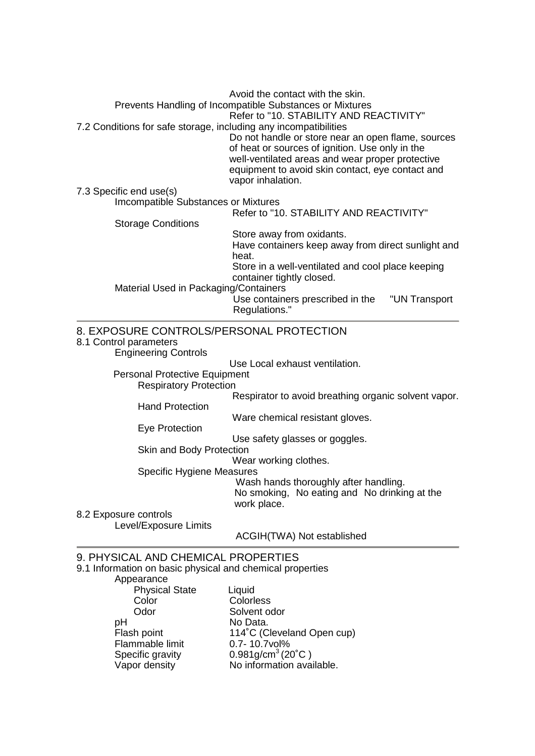Avoid the contact with the skin. Prevents Handling of Incompatible Substances or Mixtures Refer to "10. STABILITY AND REACTIVITY" 7.2 Conditions for safe storage, including any incompatibilities Do not handle or store near an open flame, sources of heat or sources of ignition. Use only in the well-ventilated areas and wear proper protective equipment to avoid skin contact, eye contact and vapor inhalation. 7.3 Specific end use(s) Imcompatible Substances or Mixtures Refer to "10. STABILITY AND REACTIVITY" Storage Conditions Store away from oxidants. Have containers keep away from direct sunlight and heat. Store in a well-ventilated and cool place keeping container tightly closed. Material Used in Packaging/Containers Use containers prescribed in the "UN Transport Regulations." 8. EXPOSURE CONTROLS/PERSONAL PROTECTION 8.1 Control parameters Engineering Controls

Use Local exhaust ventilation.

Personal Protective Equipment

Respiratory Protection

Respirator to avoid breathing organic solvent vapor.

Ware chemical resistant gloves.

Eye Protection

Hand Protection

Use safety glasses or goggles.

Skin and Body Protection

Wear working clothes.

Specific Hygiene Measures

Wash hands thoroughly after handling. No smoking, No eating and No drinking at the work place.

8.2 Exposure controls

Level/Exposure Limits

ACGIH(TWA) Not established

#### 9. PHYSICAL AND CHEMICAL PROPERTIES

9.1 Information on basic physical and chemical properties

Appearance

| <b>Physical State</b> | Liquid                                        |
|-----------------------|-----------------------------------------------|
| Color                 | Colorless                                     |
| Odor                  | Solvent odor                                  |
| рH                    | No Data.                                      |
| Flash point           | 114°C (Cleveland Open cup)                    |
| Flammable limit       | 0.7-10.7vol%                                  |
| Specific gravity      | $0.981$ g/cm <sup>3</sup> (20 <sup>°</sup> C) |
| Vapor density         | No information available.                     |
|                       |                                               |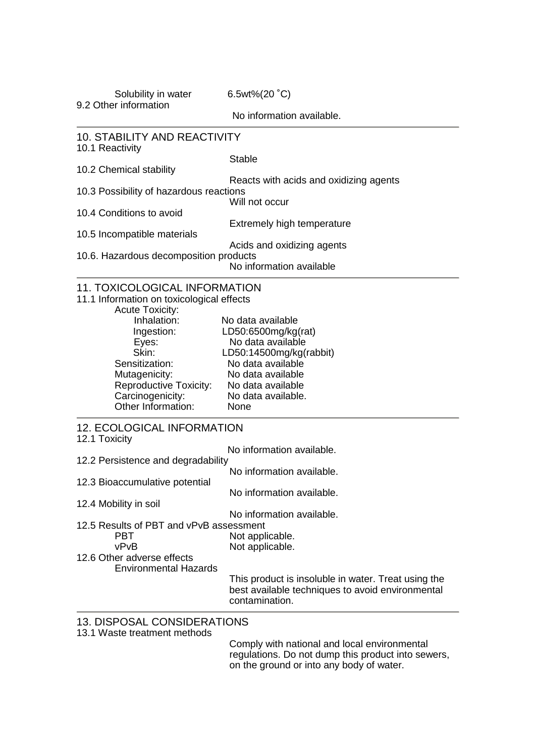Solubility in water 6.5wt%(20 °C)

9.2 Other information

No information available.

| <b>10. STABILITY AND REACTIVITY</b><br>10.1 Reactivity              |                                                                                                                                                |
|---------------------------------------------------------------------|------------------------------------------------------------------------------------------------------------------------------------------------|
|                                                                     | <b>Stable</b>                                                                                                                                  |
| 10.2 Chemical stability                                             | Reacts with acids and oxidizing agents                                                                                                         |
| 10.3 Possibility of hazardous reactions                             |                                                                                                                                                |
| 10.4 Conditions to avoid                                            | Will not occur                                                                                                                                 |
| 10.5 Incompatible materials                                         | <b>Extremely high temperature</b>                                                                                                              |
|                                                                     | Acids and oxidizing agents                                                                                                                     |
| 10.6. Hazardous decomposition products                              | No information available                                                                                                                       |
| <b>11. TOXICOLOGICAL INFORMATION</b>                                |                                                                                                                                                |
| 11.1 Information on toxicological effects<br><b>Acute Toxicity:</b> |                                                                                                                                                |
| Inhalation:                                                         | No data available                                                                                                                              |
| Ingestion:                                                          | LD50:6500mg/kg(rat)<br>No data available                                                                                                       |
| Eyes:<br>Skin:                                                      | LD50:14500mg/kg(rabbit)                                                                                                                        |
| Sensitization:                                                      | No data available                                                                                                                              |
| Mutagenicity:                                                       | No data available                                                                                                                              |
| <b>Reproductive Toxicity:</b>                                       | No data available                                                                                                                              |
| Carcinogenicity:                                                    | No data available.                                                                                                                             |
| Other Information:                                                  | None                                                                                                                                           |
| <b>12. ECOLOGICAL INFORMATION</b><br>12.1 Toxicity                  |                                                                                                                                                |
|                                                                     | No information available.                                                                                                                      |
| 12.2 Persistence and degradability                                  | No information available.                                                                                                                      |
| 12.3 Bioaccumulative potential                                      | No information available.                                                                                                                      |
| 12.4 Mobility in soil                                               |                                                                                                                                                |
|                                                                     | No information available.                                                                                                                      |
| 12.5 Results of PBT and vPvB assessment<br><b>PBT</b>               | Not applicable.                                                                                                                                |
| vPvB                                                                | Not applicable.                                                                                                                                |
| 12.6 Other adverse effects                                          |                                                                                                                                                |
| <b>Environmental Hazards</b>                                        |                                                                                                                                                |
|                                                                     | This product is insoluble in water. Treat using the<br>best available techniques to avoid environmental<br>contamination.                      |
| 13. DISPOSAL CONSIDERATIONS<br>13.1 Waste treatment methods         |                                                                                                                                                |
|                                                                     | Comply with national and local environmental<br>regulations. Do not dump this product into sewers,<br>on the ground or into any body of water. |